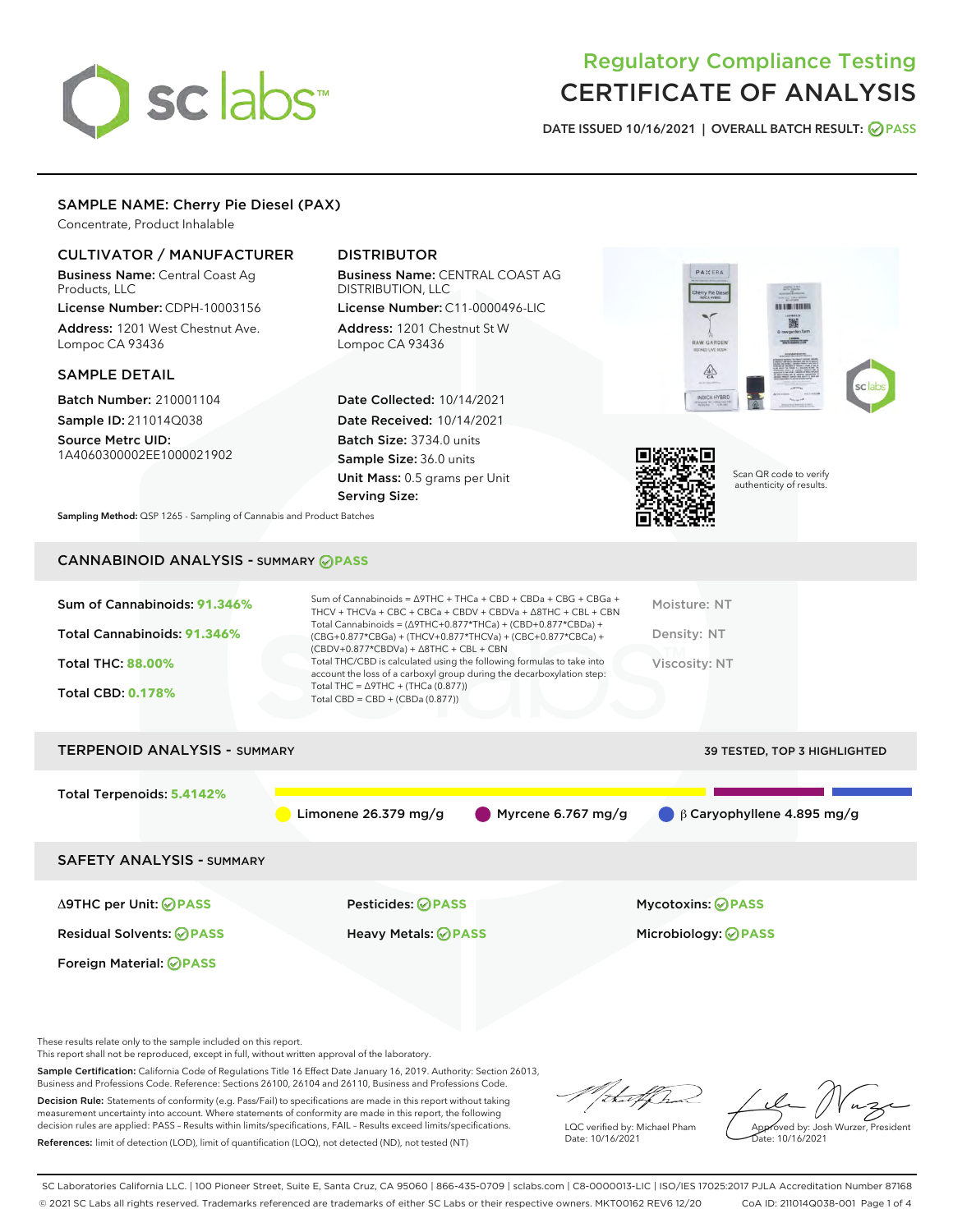# sclabs<sup>\*</sup>

# Regulatory Compliance Testing CERTIFICATE OF ANALYSIS

DATE ISSUED 10/16/2021 | OVERALL BATCH RESULT: @ PASS

# SAMPLE NAME: Cherry Pie Diesel (PAX)

Concentrate, Product Inhalable

# CULTIVATOR / MANUFACTURER

Business Name: Central Coast Ag Products, LLC License Number: CDPH-10003156

Address: 1201 West Chestnut Ave. Lompoc CA 93436

#### SAMPLE DETAIL

Batch Number: 210001104 Sample ID: 211014Q038

Source Metrc UID: 1A4060300002EE1000021902

# DISTRIBUTOR

Business Name: CENTRAL COAST AG DISTRIBUTION, LLC License Number: C11-0000496-LIC

Address: 1201 Chestnut St W Lompoc CA 93436

Date Collected: 10/14/2021 Date Received: 10/14/2021 Batch Size: 3734.0 units Sample Size: 36.0 units Unit Mass: 0.5 grams per Unit Serving Size:





Scan QR code to verify authenticity of results.

Sampling Method: QSP 1265 - Sampling of Cannabis and Product Batches

# CANNABINOID ANALYSIS - SUMMARY **PASS**

| Sum of Cannabinoids: 91.346%<br>Total Cannabinoids: 91.346%<br><b>Total THC: 88.00%</b><br><b>Total CBD: 0.178%</b> | Sum of Cannabinoids = $\triangle$ 9THC + THCa + CBD + CBDa + CBG + CBGa +<br>THCV + THCVa + CBC + CBCa + CBDV + CBDVa + $\Delta$ 8THC + CBL + CBN<br>Total Cannabinoids = $(\Delta$ 9THC+0.877*THCa) + (CBD+0.877*CBDa) +<br>(CBG+0.877*CBGa) + (THCV+0.877*THCVa) + (CBC+0.877*CBCa) +<br>$(CBDV+0.877*CBDVa) + \Delta 8THC + CBL + CBN$<br>Total THC/CBD is calculated using the following formulas to take into<br>account the loss of a carboxyl group during the decarboxylation step:<br>Total THC = $\triangle$ 9THC + (THCa (0.877))<br>Total CBD = CBD + (CBDa (0.877)) | Moisture: NT<br>Density: NT<br>Viscosity: NT          |  |  |  |  |  |
|---------------------------------------------------------------------------------------------------------------------|----------------------------------------------------------------------------------------------------------------------------------------------------------------------------------------------------------------------------------------------------------------------------------------------------------------------------------------------------------------------------------------------------------------------------------------------------------------------------------------------------------------------------------------------------------------------------------|-------------------------------------------------------|--|--|--|--|--|
| <b>TERPENOID ANALYSIS - SUMMARY</b><br><b>39 TESTED, TOP 3 HIGHLIGHTED</b>                                          |                                                                                                                                                                                                                                                                                                                                                                                                                                                                                                                                                                                  |                                                       |  |  |  |  |  |
| Total Terpenoids: 5.4142%                                                                                           | Myrcene 6.767 $mg/g$<br>Limonene $26.379$ mg/g                                                                                                                                                                                                                                                                                                                                                                                                                                                                                                                                   | $\bigcirc$ $\beta$ Caryophyllene 4.895 mg/g           |  |  |  |  |  |
| <b>SAFETY ANALYSIS - SUMMARY</b>                                                                                    |                                                                                                                                                                                                                                                                                                                                                                                                                                                                                                                                                                                  |                                                       |  |  |  |  |  |
| ∆9THC per Unit: ⊘PASS<br><b>Residual Solvents: ⊘PASS</b>                                                            | Pesticides: ⊘PASS<br>Heavy Metals: <b>PASS</b>                                                                                                                                                                                                                                                                                                                                                                                                                                                                                                                                   | <b>Mycotoxins: ⊘PASS</b><br>Microbiology: <b>PASS</b> |  |  |  |  |  |

These results relate only to the sample included on this report.

Foreign Material: **PASS**

This report shall not be reproduced, except in full, without written approval of the laboratory.

Sample Certification: California Code of Regulations Title 16 Effect Date January 16, 2019. Authority: Section 26013, Business and Professions Code. Reference: Sections 26100, 26104 and 26110, Business and Professions Code.

Decision Rule: Statements of conformity (e.g. Pass/Fail) to specifications are made in this report without taking measurement uncertainty into account. Where statements of conformity are made in this report, the following decision rules are applied: PASS – Results within limits/specifications, FAIL – Results exceed limits/specifications. References: limit of detection (LOD), limit of quantification (LOQ), not detected (ND), not tested (NT)

that for

LQC verified by: Michael Pham Date: 10/16/2021

Approved by: Josh Wurzer, President ate: 10/16/2021

SC Laboratories California LLC. | 100 Pioneer Street, Suite E, Santa Cruz, CA 95060 | 866-435-0709 | sclabs.com | C8-0000013-LIC | ISO/IES 17025:2017 PJLA Accreditation Number 87168 © 2021 SC Labs all rights reserved. Trademarks referenced are trademarks of either SC Labs or their respective owners. MKT00162 REV6 12/20 CoA ID: 211014Q038-001 Page 1 of 4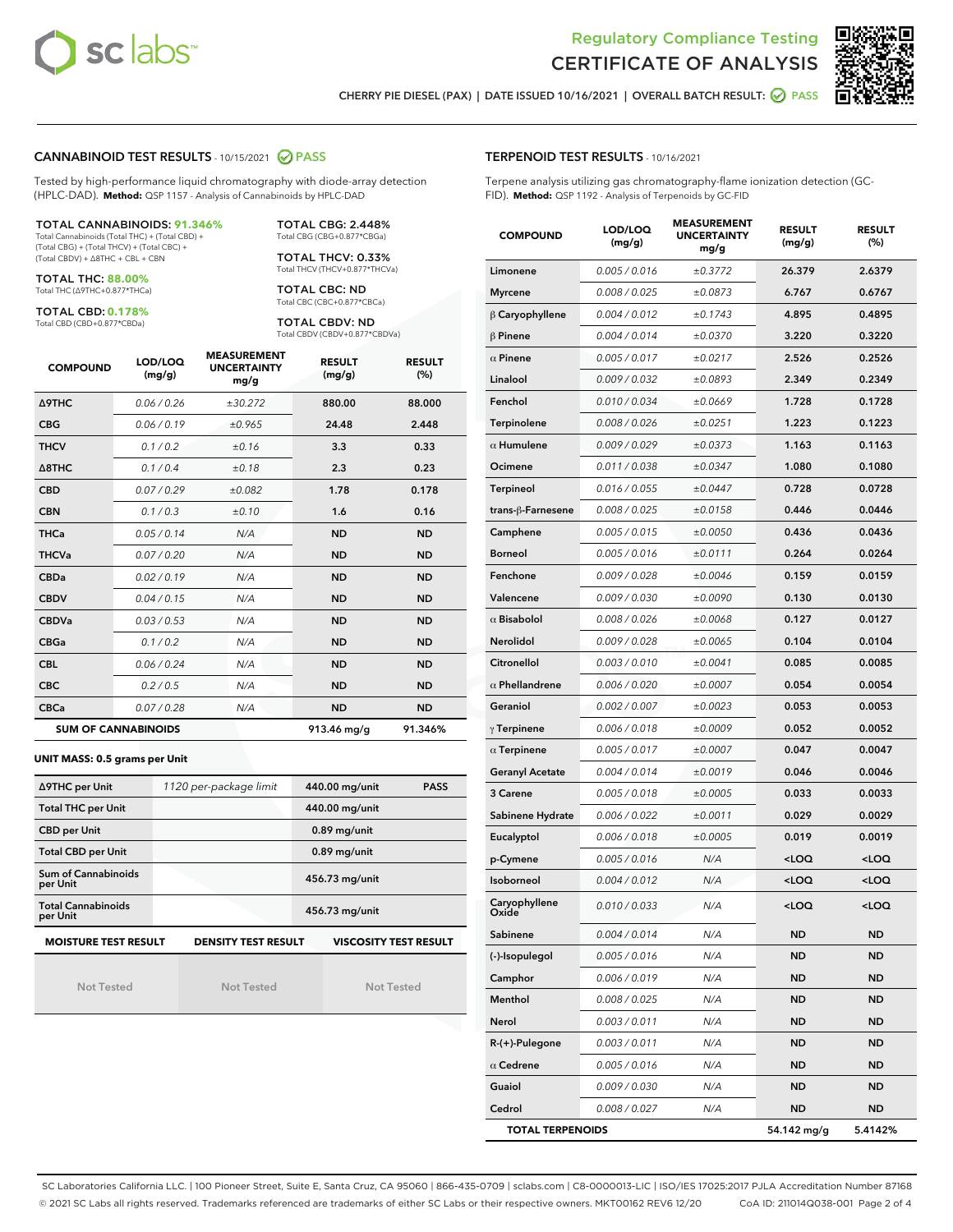



CHERRY PIE DIESEL (PAX) | DATE ISSUED 10/16/2021 | OVERALL BATCH RESULT: @ PASS

#### CANNABINOID TEST RESULTS - 10/15/2021 2 PASS

Tested by high-performance liquid chromatography with diode-array detection (HPLC-DAD). **Method:** QSP 1157 - Analysis of Cannabinoids by HPLC-DAD

#### TOTAL CANNABINOIDS: **91.346%**

Total Cannabinoids (Total THC) + (Total CBD) + (Total CBG) + (Total THCV) + (Total CBC) + (Total CBDV) + ∆8THC + CBL + CBN

TOTAL THC: **88.00%** Total THC (∆9THC+0.877\*THCa)

TOTAL CBD: **0.178%**

Total CBD (CBD+0.877\*CBDa)

TOTAL CBG: 2.448% Total CBG (CBG+0.877\*CBGa)

TOTAL THCV: 0.33% Total THCV (THCV+0.877\*THCVa)

TOTAL CBC: ND Total CBC (CBC+0.877\*CBCa)

TOTAL CBDV: ND Total CBDV (CBDV+0.877\*CBDVa)

| <b>COMPOUND</b>  | LOD/LOQ<br>(mg/g)          | <b>MEASUREMENT</b><br><b>UNCERTAINTY</b><br>mg/g | <b>RESULT</b><br>(mg/g) | <b>RESULT</b><br>(%) |
|------------------|----------------------------|--------------------------------------------------|-------------------------|----------------------|
| <b>A9THC</b>     | 0.06 / 0.26                | ±30.272                                          | 880.00                  | 88.000               |
| <b>CBG</b>       | 0.06/0.19                  | ±0.965                                           | 24.48                   | 2.448                |
| <b>THCV</b>      | 0.1/0.2                    | ±0.16                                            | 3.3                     | 0.33                 |
| $\triangle$ 8THC | 0.1/0.4                    | ±0.18                                            | 2.3                     | 0.23                 |
| <b>CBD</b>       | 0.07/0.29                  | ±0.082                                           | 1.78                    | 0.178                |
| <b>CBN</b>       | 0.1 / 0.3                  | ±0.10                                            | 1.6                     | 0.16                 |
| <b>THCa</b>      | 0.05/0.14                  | N/A                                              | <b>ND</b>               | <b>ND</b>            |
| <b>THCVa</b>     | 0.07/0.20                  | N/A                                              | <b>ND</b>               | <b>ND</b>            |
| <b>CBDa</b>      | 0.02/0.19                  | N/A                                              | <b>ND</b>               | <b>ND</b>            |
| <b>CBDV</b>      | 0.04 / 0.15                | N/A                                              | <b>ND</b>               | <b>ND</b>            |
| <b>CBDVa</b>     | 0.03/0.53                  | N/A                                              | <b>ND</b>               | <b>ND</b>            |
| <b>CBGa</b>      | 0.1/0.2                    | N/A                                              | <b>ND</b>               | <b>ND</b>            |
| <b>CBL</b>       | 0.06 / 0.24                | N/A                                              | <b>ND</b>               | <b>ND</b>            |
| <b>CBC</b>       | 0.2 / 0.5                  | N/A                                              | <b>ND</b>               | <b>ND</b>            |
| <b>CBCa</b>      | 0.07 / 0.28                | N/A                                              | <b>ND</b>               | <b>ND</b>            |
|                  | <b>SUM OF CANNABINOIDS</b> |                                                  | 913.46 mg/g             | 91.346%              |

#### **UNIT MASS: 0.5 grams per Unit**

| ∆9THC per Unit                        | 1120 per-package limit     | 440.00 mg/unit<br><b>PASS</b> |  |
|---------------------------------------|----------------------------|-------------------------------|--|
| <b>Total THC per Unit</b>             |                            | 440.00 mg/unit                |  |
| <b>CBD per Unit</b>                   |                            | $0.89$ mg/unit                |  |
| <b>Total CBD per Unit</b>             |                            | $0.89$ mg/unit                |  |
| Sum of Cannabinoids<br>per Unit       |                            | 456.73 mg/unit                |  |
| <b>Total Cannabinoids</b><br>per Unit |                            | 456.73 mg/unit                |  |
| <b>MOISTURE TEST RESULT</b>           | <b>DENSITY TEST RESULT</b> | <b>VISCOSITY TEST RESULT</b>  |  |

Not Tested

Not Tested

Not Tested

Terpene analysis utilizing gas chromatography-flame ionization detection (GC-FID). **Method:** QSP 1192 - Analysis of Terpenoids by GC-FID

| <b>COMPOUND</b>         | LOD/LOQ<br>(mg/g) | <b>MEASUREMENT</b><br><b>UNCERTAINTY</b><br>mg/g | <b>RESULT</b><br>(mg/g)                          | <b>RESULT</b><br>(%) |
|-------------------------|-------------------|--------------------------------------------------|--------------------------------------------------|----------------------|
| Limonene                | 0.005 / 0.016     | ±0.3772                                          | 26.379                                           | 2.6379               |
| <b>Myrcene</b>          | 0.008 / 0.025     | ±0.0873                                          | 6.767                                            | 0.6767               |
| $\beta$ Caryophyllene   | 0.004 / 0.012     | ±0.1743                                          | 4.895                                            | 0.4895               |
| $\beta$ Pinene          | 0.004 / 0.014     | ±0.0370                                          | 3.220                                            | 0.3220               |
| $\alpha$ Pinene         | 0.005 / 0.017     | ±0.0217                                          | 2.526                                            | 0.2526               |
| Linalool                | 0.009/0.032       | ±0.0893                                          | 2.349                                            | 0.2349               |
| Fenchol                 | 0.010 / 0.034     | ±0.0669                                          | 1.728                                            | 0.1728               |
| Terpinolene             | 0.008 / 0.026     | ±0.0251                                          | 1.223                                            | 0.1223               |
| $\alpha$ Humulene       | 0.009/0.029       | ±0.0373                                          | 1.163                                            | 0.1163               |
| Ocimene                 | 0.011 / 0.038     | ±0.0347                                          | 1.080                                            | 0.1080               |
| <b>Terpineol</b>        | 0.016 / 0.055     | ±0.0447                                          | 0.728                                            | 0.0728               |
| trans-ß-Farnesene       | 0.008 / 0.025     | ±0.0158                                          | 0.446                                            | 0.0446               |
| Camphene                | 0.005 / 0.015     | ±0.0050                                          | 0.436                                            | 0.0436               |
| <b>Borneol</b>          | 0.005 / 0.016     | ±0.0111                                          | 0.264                                            | 0.0264               |
| Fenchone                | 0.009 / 0.028     | ±0.0046                                          | 0.159                                            | 0.0159               |
| Valencene               | 0.009 / 0.030     | ±0.0090                                          | 0.130                                            | 0.0130               |
| $\alpha$ Bisabolol      | 0.008 / 0.026     | ±0.0068                                          | 0.127                                            | 0.0127               |
| <b>Nerolidol</b>        | 0.009 / 0.028     | ±0.0065                                          | 0.104                                            | 0.0104               |
| Citronellol             | 0.003 / 0.010     | ±0.0041                                          | 0.085                                            | 0.0085               |
| $\alpha$ Phellandrene   | 0.006 / 0.020     | ±0.0007                                          | 0.054                                            | 0.0054               |
| Geraniol                | 0.002 / 0.007     | ±0.0023                                          | 0.053                                            | 0.0053               |
| $\gamma$ Terpinene      | 0.006 / 0.018     | ±0.0009                                          | 0.052                                            | 0.0052               |
| $\alpha$ Terpinene      | 0.005 / 0.017     | ±0.0007                                          | 0.047                                            | 0.0047               |
| <b>Geranyl Acetate</b>  | 0.004 / 0.014     | ±0.0019                                          | 0.046                                            | 0.0046               |
| 3 Carene                | 0.005 / 0.018     | ±0.0005                                          | 0.033                                            | 0.0033               |
| Sabinene Hydrate        | 0.006 / 0.022     | ±0.0011                                          | 0.029                                            | 0.0029               |
| Eucalyptol              | 0.006 / 0.018     | ±0.0005                                          | 0.019                                            | 0.0019               |
| p-Cymene                | 0.005 / 0.016     | N/A                                              | <loq< th=""><th><loq< th=""></loq<></th></loq<>  | <loq< th=""></loq<>  |
| Isoborneol              | 0.004 / 0.012     | N/A                                              | <loq< th=""><th><loq< th=""></loq<></th></loq<>  | <loq< th=""></loq<>  |
| Caryophyllene           | 0.010 / 0.033     | N/A                                              | <loq< th=""><th><math>&lt;</math>LOQ</th></loq<> | $<$ LOQ              |
| Sabinene                | 0.004 / 0.014     | N/A                                              | ND                                               | <b>ND</b>            |
| (-)-Isopulegol          | 0.005 / 0.016     | N/A                                              | ND                                               | ND                   |
| Camphor                 | 0.006 / 0.019     | N/A                                              | ND                                               | <b>ND</b>            |
| Menthol                 | 0.008 / 0.025     | N/A                                              | ND                                               | <b>ND</b>            |
| Nerol                   | 0.003 / 0.011     | N/A                                              | ND                                               | ND                   |
| $R-(+)$ -Pulegone       | 0.003 / 0.011     | N/A                                              | ND                                               | <b>ND</b>            |
| $\alpha$ Cedrene        | 0.005 / 0.016     | N/A                                              | ND                                               | <b>ND</b>            |
| Guaiol                  | 0.009 / 0.030     | N/A                                              | ND                                               | ND                   |
| Cedrol                  | 0.008 / 0.027     | N/A                                              | ND                                               | <b>ND</b>            |
| <b>TOTAL TERPENOIDS</b> |                   |                                                  | 54.142 mg/g                                      | 5.4142%              |

SC Laboratories California LLC. | 100 Pioneer Street, Suite E, Santa Cruz, CA 95060 | 866-435-0709 | sclabs.com | C8-0000013-LIC | ISO/IES 17025:2017 PJLA Accreditation Number 87168 © 2021 SC Labs all rights reserved. Trademarks referenced are trademarks of either SC Labs or their respective owners. MKT00162 REV6 12/20 CoA ID: 211014Q038-001 Page 2 of 4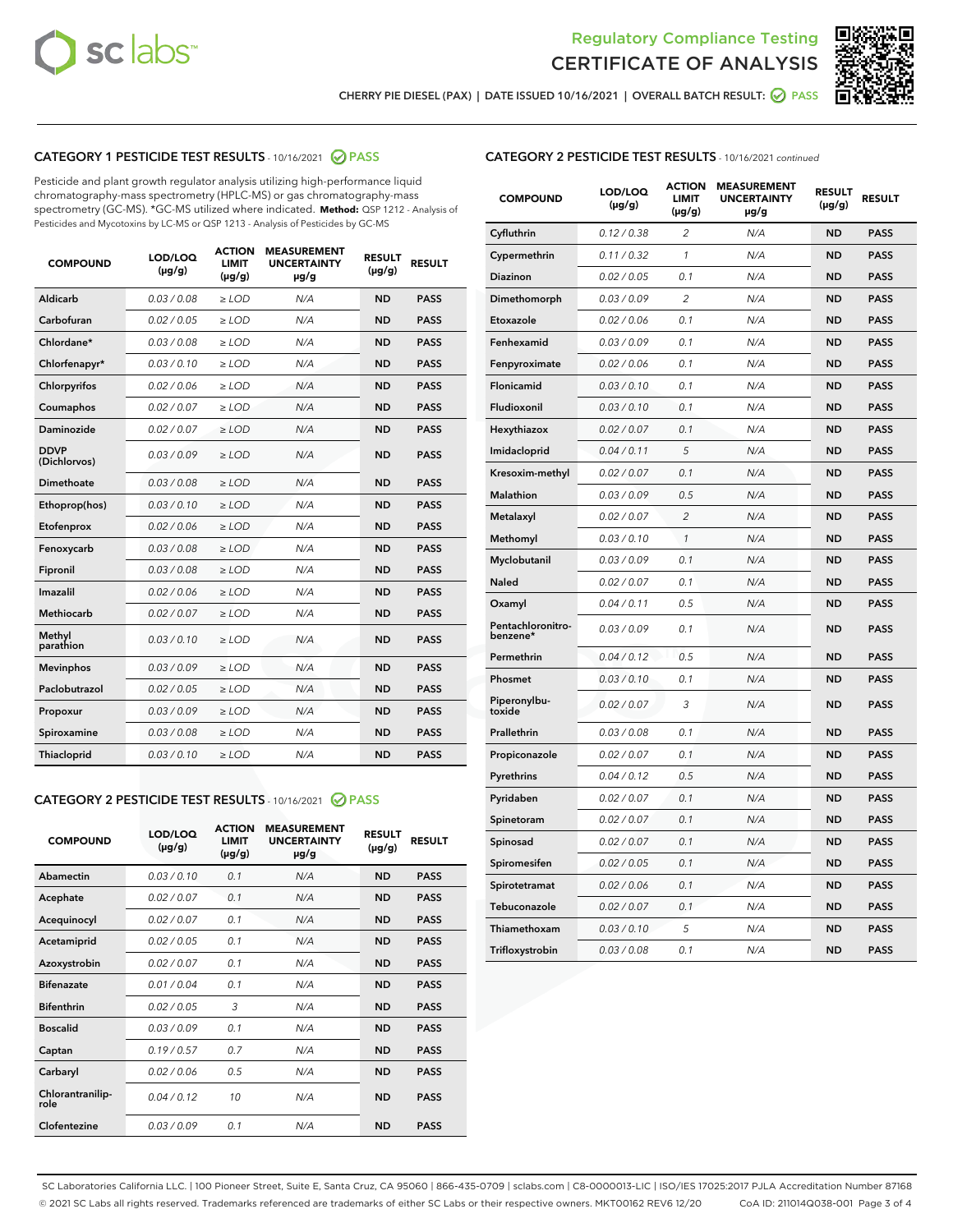



CHERRY PIE DIESEL (PAX) | DATE ISSUED 10/16/2021 | OVERALL BATCH RESULT: @ PASS

# CATEGORY 1 PESTICIDE TEST RESULTS - 10/16/2021 2 PASS

Pesticide and plant growth regulator analysis utilizing high-performance liquid chromatography-mass spectrometry (HPLC-MS) or gas chromatography-mass spectrometry (GC-MS). \*GC-MS utilized where indicated. **Method:** QSP 1212 - Analysis of Pesticides and Mycotoxins by LC-MS or QSP 1213 - Analysis of Pesticides by GC-MS

| <b>COMPOUND</b>             | LOD/LOQ<br>$(\mu g/g)$ | <b>ACTION</b><br>LIMIT<br>$(\mu g/g)$ | <b>MEASUREMENT</b><br><b>UNCERTAINTY</b><br>$\mu$ g/g | <b>RESULT</b><br>$(\mu g/g)$ | <b>RESULT</b> |
|-----------------------------|------------------------|---------------------------------------|-------------------------------------------------------|------------------------------|---------------|
| Aldicarb                    | 0.03 / 0.08            | $\ge$ LOD                             | N/A                                                   | <b>ND</b>                    | <b>PASS</b>   |
| Carbofuran                  | 0.02 / 0.05            | $>$ LOD                               | N/A                                                   | <b>ND</b>                    | <b>PASS</b>   |
| Chlordane*                  | 0.03 / 0.08            | $>$ LOD                               | N/A                                                   | <b>ND</b>                    | <b>PASS</b>   |
| Chlorfenapyr*               | 0.03 / 0.10            | ≥ LOD                                 | N/A                                                   | <b>ND</b>                    | <b>PASS</b>   |
| Chlorpyrifos                | 0.02 / 0.06            | $\geq$ LOD                            | N/A                                                   | <b>ND</b>                    | <b>PASS</b>   |
| Coumaphos                   | 0.02 / 0.07            | $>$ LOD                               | N/A                                                   | <b>ND</b>                    | <b>PASS</b>   |
| <b>Daminozide</b>           | 0.02 / 0.07            | $\ge$ LOD                             | N/A                                                   | <b>ND</b>                    | <b>PASS</b>   |
| <b>DDVP</b><br>(Dichlorvos) | 0.03/0.09              | $\geq$ LOD                            | N/A                                                   | <b>ND</b>                    | <b>PASS</b>   |
| Dimethoate                  | 0.03 / 0.08            | $>$ LOD                               | N/A                                                   | <b>ND</b>                    | <b>PASS</b>   |
| Ethoprop(hos)               | 0.03/0.10              | $>$ LOD                               | N/A                                                   | <b>ND</b>                    | <b>PASS</b>   |
| Etofenprox                  | 0.02 / 0.06            | $>$ LOD                               | N/A                                                   | <b>ND</b>                    | <b>PASS</b>   |
| Fenoxycarb                  | 0.03 / 0.08            | $>$ LOD                               | N/A                                                   | <b>ND</b>                    | <b>PASS</b>   |
| Fipronil                    | 0.03 / 0.08            | $\geq$ LOD                            | N/A                                                   | <b>ND</b>                    | <b>PASS</b>   |
| Imazalil                    | 0.02 / 0.06            | $\geq$ LOD                            | N/A                                                   | <b>ND</b>                    | <b>PASS</b>   |
| Methiocarb                  | 0.02 / 0.07            | $>$ LOD                               | N/A                                                   | <b>ND</b>                    | <b>PASS</b>   |
| Methyl<br>parathion         | 0.03/0.10              | $\ge$ LOD                             | N/A                                                   | <b>ND</b>                    | <b>PASS</b>   |
| <b>Mevinphos</b>            | 0.03/0.09              | $>$ LOD                               | N/A                                                   | <b>ND</b>                    | <b>PASS</b>   |
| Paclobutrazol               | 0.02 / 0.05            | $\ge$ LOD                             | N/A                                                   | <b>ND</b>                    | <b>PASS</b>   |
| Propoxur                    | 0.03/0.09              | $\geq$ LOD                            | N/A                                                   | <b>ND</b>                    | <b>PASS</b>   |
| Spiroxamine                 | 0.03 / 0.08            | $\ge$ LOD                             | N/A                                                   | <b>ND</b>                    | <b>PASS</b>   |
| Thiacloprid                 | 0.03/0.10              | $\ge$ LOD                             | N/A                                                   | <b>ND</b>                    | <b>PASS</b>   |

#### CATEGORY 2 PESTICIDE TEST RESULTS - 10/16/2021 @ PASS

| <b>COMPOUND</b>          | LOD/LOO<br>$(\mu g/g)$ | <b>ACTION</b><br>LIMIT<br>$(\mu g/g)$ | <b>MEASUREMENT</b><br><b>UNCERTAINTY</b><br>µg/g | <b>RESULT</b><br>$(\mu g/g)$ | <b>RESULT</b> |
|--------------------------|------------------------|---------------------------------------|--------------------------------------------------|------------------------------|---------------|
| Abamectin                | 0.03/0.10              | 0.1                                   | N/A                                              | <b>ND</b>                    | <b>PASS</b>   |
| Acephate                 | 0.02/0.07              | 0.1                                   | N/A                                              | <b>ND</b>                    | <b>PASS</b>   |
| Acequinocyl              | 0.02/0.07              | 0.1                                   | N/A                                              | <b>ND</b>                    | <b>PASS</b>   |
| Acetamiprid              | 0.02/0.05              | 0.1                                   | N/A                                              | <b>ND</b>                    | <b>PASS</b>   |
| Azoxystrobin             | 0.02/0.07              | 0.1                                   | N/A                                              | <b>ND</b>                    | <b>PASS</b>   |
| <b>Bifenazate</b>        | 0.01/0.04              | 0.1                                   | N/A                                              | <b>ND</b>                    | <b>PASS</b>   |
| <b>Bifenthrin</b>        | 0.02 / 0.05            | 3                                     | N/A                                              | <b>ND</b>                    | <b>PASS</b>   |
| <b>Boscalid</b>          | 0.03/0.09              | 0.1                                   | N/A                                              | <b>ND</b>                    | <b>PASS</b>   |
| Captan                   | 0.19/0.57              | 0.7                                   | N/A                                              | <b>ND</b>                    | <b>PASS</b>   |
| Carbaryl                 | 0.02/0.06              | 0.5                                   | N/A                                              | <b>ND</b>                    | <b>PASS</b>   |
| Chlorantranilip-<br>role | 0.04/0.12              | 10                                    | N/A                                              | <b>ND</b>                    | <b>PASS</b>   |
| Clofentezine             | 0.03/0.09              | 0.1                                   | N/A                                              | <b>ND</b>                    | <b>PASS</b>   |

| <b>COMPOUND</b>               | LOD/LOQ<br>(µg/g) | <b>ACTION</b><br><b>LIMIT</b><br>(µg/g) | <b>MEASUREMENT</b><br><b>UNCERTAINTY</b><br>µg/g | <b>RESULT</b><br>(µg/g) | <b>RESULT</b> |
|-------------------------------|-------------------|-----------------------------------------|--------------------------------------------------|-------------------------|---------------|
| Cyfluthrin                    | 0.12 / 0.38       | $\overline{c}$                          | N/A                                              | <b>ND</b>               | <b>PASS</b>   |
| Cypermethrin                  | 0.11/0.32         | 1                                       | N/A                                              | <b>ND</b>               | <b>PASS</b>   |
| Diazinon                      | 0.02 / 0.05       | 0.1                                     | N/A                                              | <b>ND</b>               | <b>PASS</b>   |
| Dimethomorph                  | 0.03 / 0.09       | 2                                       | N/A                                              | <b>ND</b>               | <b>PASS</b>   |
| Etoxazole                     | 0.02 / 0.06       | 0.1                                     | N/A                                              | <b>ND</b>               | <b>PASS</b>   |
| Fenhexamid                    | 0.03 / 0.09       | 0.1                                     | N/A                                              | <b>ND</b>               | <b>PASS</b>   |
| Fenpyroximate                 | 0.02 / 0.06       | 0.1                                     | N/A                                              | <b>ND</b>               | <b>PASS</b>   |
| Flonicamid                    | 0.03 / 0.10       | 0.1                                     | N/A                                              | <b>ND</b>               | <b>PASS</b>   |
| Fludioxonil                   | 0.03 / 0.10       | 0.1                                     | N/A                                              | <b>ND</b>               | <b>PASS</b>   |
| Hexythiazox                   | 0.02 / 0.07       | 0.1                                     | N/A                                              | <b>ND</b>               | <b>PASS</b>   |
| Imidacloprid                  | 0.04 / 0.11       | 5                                       | N/A                                              | <b>ND</b>               | <b>PASS</b>   |
| Kresoxim-methyl               | 0.02 / 0.07       | 0.1                                     | N/A                                              | <b>ND</b>               | <b>PASS</b>   |
| Malathion                     | 0.03 / 0.09       | 0.5                                     | N/A                                              | <b>ND</b>               | <b>PASS</b>   |
| Metalaxyl                     | 0.02 / 0.07       | 2                                       | N/A                                              | <b>ND</b>               | <b>PASS</b>   |
| Methomyl                      | 0.03 / 0.10       | $\mathcal{I}$                           | N/A                                              | <b>ND</b>               | <b>PASS</b>   |
| Myclobutanil                  | 0.03 / 0.09       | 0.1                                     | N/A                                              | <b>ND</b>               | <b>PASS</b>   |
| Naled                         | 0.02 / 0.07       | 0.1                                     | N/A                                              | <b>ND</b>               | <b>PASS</b>   |
| Oxamyl                        | 0.04 / 0.11       | 0.5                                     | N/A                                              | <b>ND</b>               | <b>PASS</b>   |
| Pentachloronitro-<br>benzene* | 0.03 / 0.09       | 0.1                                     | N/A                                              | <b>ND</b>               | <b>PASS</b>   |
| Permethrin                    | 0.04/0.12         | 0.5                                     | N/A                                              | <b>ND</b>               | <b>PASS</b>   |
| Phosmet                       | 0.03 / 0.10       | 0.1                                     | N/A                                              | <b>ND</b>               | <b>PASS</b>   |
| Piperonylbu-<br>toxide        | 0.02 / 0.07       | 3                                       | N/A                                              | <b>ND</b>               | <b>PASS</b>   |
| Prallethrin                   | 0.03 / 0.08       | 0.1                                     | N/A                                              | <b>ND</b>               | <b>PASS</b>   |
| Propiconazole                 | 0.02 / 0.07       | 0.1                                     | N/A                                              | <b>ND</b>               | <b>PASS</b>   |
| Pyrethrins                    | 0.04 / 0.12       | 0.5                                     | N/A                                              | <b>ND</b>               | <b>PASS</b>   |
| Pyridaben                     | 0.02 / 0.07       | 0.1                                     | N/A                                              | <b>ND</b>               | <b>PASS</b>   |
| Spinetoram                    | 0.02 / 0.07       | 0.1                                     | N/A                                              | <b>ND</b>               | <b>PASS</b>   |
| Spinosad                      | 0.02 / 0.07       | 0.1                                     | N/A                                              | <b>ND</b>               | <b>PASS</b>   |
| Spiromesifen                  | 0.02 / 0.05       | 0.1                                     | N/A                                              | <b>ND</b>               | <b>PASS</b>   |
| Spirotetramat                 | 0.02 / 0.06       | 0.1                                     | N/A                                              | ND                      | <b>PASS</b>   |
| Tebuconazole                  | 0.02 / 0.07       | 0.1                                     | N/A                                              | <b>ND</b>               | <b>PASS</b>   |
| Thiamethoxam                  | 0.03 / 0.10       | 5                                       | N/A                                              | <b>ND</b>               | <b>PASS</b>   |
| Trifloxystrobin               | 0.03 / 0.08       | 0.1                                     | N/A                                              | <b>ND</b>               | <b>PASS</b>   |

SC Laboratories California LLC. | 100 Pioneer Street, Suite E, Santa Cruz, CA 95060 | 866-435-0709 | sclabs.com | C8-0000013-LIC | ISO/IES 17025:2017 PJLA Accreditation Number 87168 © 2021 SC Labs all rights reserved. Trademarks referenced are trademarks of either SC Labs or their respective owners. MKT00162 REV6 12/20 CoA ID: 211014Q038-001 Page 3 of 4